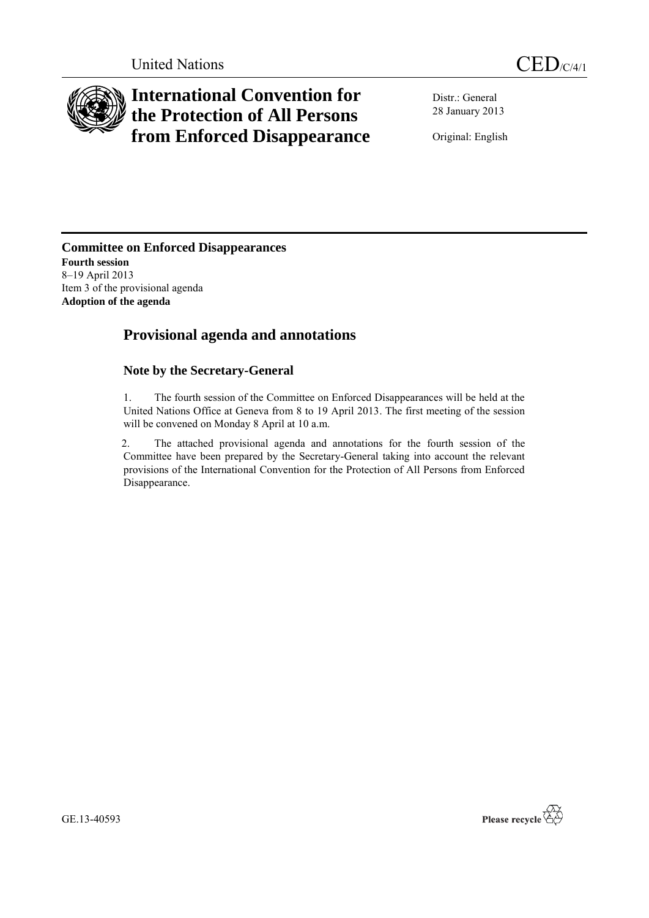

# **International Convention for the Protection of All Persons from Enforced Disappearance**

Distr.: General 28 January 2013

Original: English

**Committee on Enforced Disappearances Fourth session** 8–19 April 2013 Item 3 of the provisional agenda **Adoption of the agenda**

# **Provisional agenda and annotations**

# **Note by the Secretary-General**

1. The fourth session of the Committee on Enforced Disappearances will be held at the United Nations Office at Geneva from 8 to 19 April 2013. The first meeting of the session will be convened on Monday 8 April at 10 a.m.

2. The attached provisional agenda and annotations for the fourth session of the Committee have been prepared by the Secretary-General taking into account the relevant provisions of the International Convention for the Protection of All Persons from Enforced Disappearance.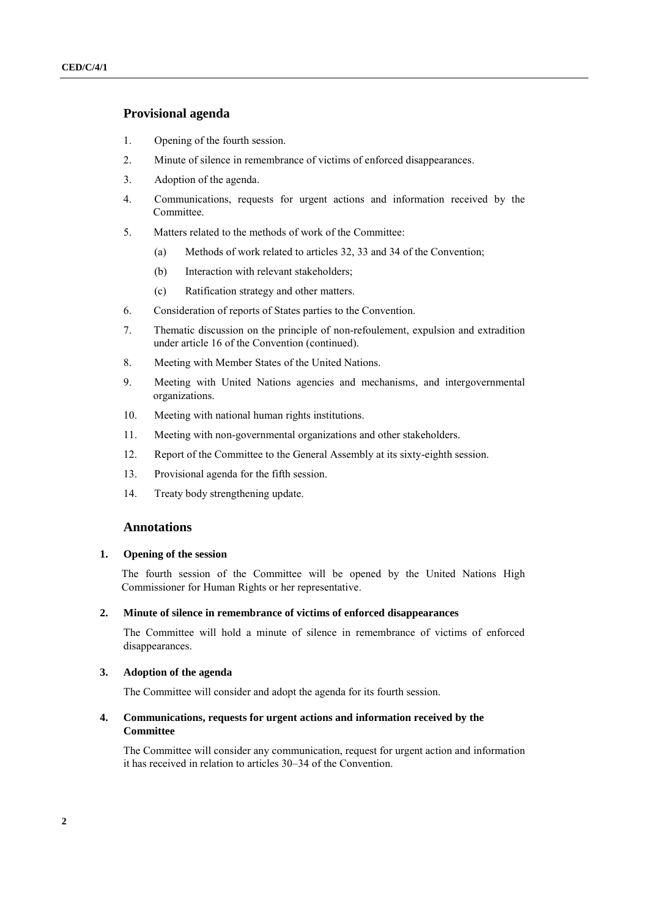# **Provisional agenda**

- 1. Opening of the fourth session.
- 2. Minute of silence in remembrance of victims of enforced disappearances.
- 3. Adoption of the agenda.
- 4. Communications, requests for urgent actions and information received by the Committee.
- 5. Matters related to the methods of work of the Committee:
	- (a) Methods of work related to articles 32, 33 and 34 of the Convention;
	- (b) Interaction with relevant stakeholders;
	- (c) Ratification strategy and other matters.
- 6. Consideration of reports of States parties to the Convention.
- 7. Thematic discussion on the principle of non-refoulement, expulsion and extradition under article 16 of the Convention (continued).
- 8. Meeting with Member States of the United Nations.
- 9. Meeting with United Nations agencies and mechanisms, and intergovernmental organizations.
- 10. Meeting with national human rights institutions.
- 11. Meeting with non-governmental organizations and other stakeholders.
- 12. Report of the Committee to the General Assembly at its sixty-eighth session.
- 13. Provisional agenda for the fifth session.
- 14. Treaty body strengthening update.

# **Annotations**

#### **1. Opening of the session**

The fourth session of the Committee will be opened by the United Nations High Commissioner for Human Rights or her representative.

#### **2. Minute of silence in remembrance of victims of enforced disappearances**

The Committee will hold a minute of silence in remembrance of victims of enforced disappearances.

#### **3. Adoption of the agenda**

The Committee will consider and adopt the agenda for its fourth session.

#### **4. Communications, requests for urgent actions and information received by the Committee**

The Committee will consider any communication, request for urgent action and information it has received in relation to articles 30–34 of the Convention.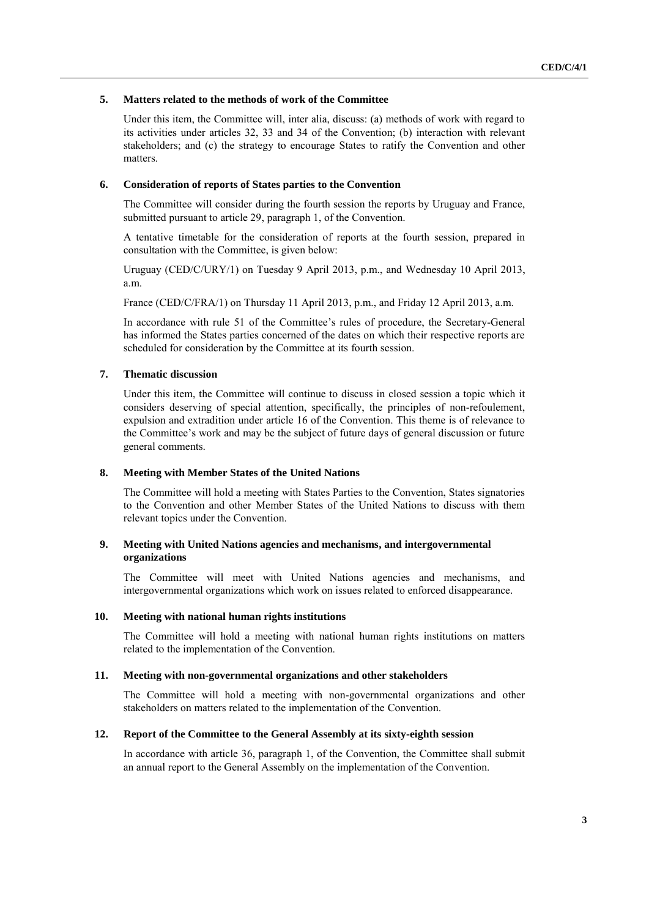#### **5. Matters related to the methods of work of the Committee**

Under this item, the Committee will, inter alia, discuss: (a) methods of work with regard to its activities under articles 32, 33 and 34 of the Convention; (b) interaction with relevant stakeholders; and (c) the strategy to encourage States to ratify the Convention and other matters.

#### **6. Consideration of reports of States parties to the Convention**

The Committee will consider during the fourth session the reports by Uruguay and France, submitted pursuant to article 29, paragraph 1, of the Convention.

A tentative timetable for the consideration of reports at the fourth session, prepared in consultation with the Committee, is given below:

Uruguay (CED/C/URY/1) on Tuesday 9 April 2013, p.m., and Wednesday 10 April 2013, a.m.

France (CED/C/FRA/1) on Thursday 11 April 2013, p.m., and Friday 12 April 2013, a.m.

In accordance with rule 51 of the Committee's rules of procedure, the Secretary-General has informed the States parties concerned of the dates on which their respective reports are scheduled for consideration by the Committee at its fourth session.

#### **7. Thematic discussion**

Under this item, the Committee will continue to discuss in closed session a topic which it considers deserving of special attention, specifically, the principles of non-refoulement, expulsion and extradition under article 16 of the Convention. This theme is of relevance to the Committee's work and may be the subject of future days of general discussion or future general comments.

#### **8. Meeting with Member States of the United Nations**

The Committee will hold a meeting with States Parties to the Convention, States signatories to the Convention and other Member States of the United Nations to discuss with them relevant topics under the Convention.

#### **9. Meeting with United Nations agencies and mechanisms, and intergovernmental organizations**

The Committee will meet with United Nations agencies and mechanisms, and intergovernmental organizations which work on issues related to enforced disappearance.

#### **10. Meeting with national human rights institutions**

The Committee will hold a meeting with national human rights institutions on matters related to the implementation of the Convention.

#### **11. Meeting with non-governmental organizations and other stakeholders**

The Committee will hold a meeting with non-governmental organizations and other stakeholders on matters related to the implementation of the Convention.

#### **12. Report of the Committee to the General Assembly at its sixty-eighth session**

In accordance with article 36, paragraph 1, of the Convention, the Committee shall submit an annual report to the General Assembly on the implementation of the Convention.